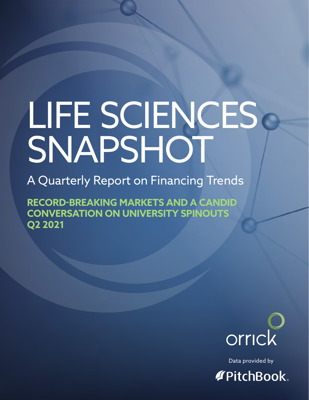# LIFE SCIENCES SNAPSHOT

A Quarterly Report on Financing Trends

**RECORD-BREAKING MARKETS AND A CANDID CONVERSATION ON UNIVERSITY SPINOUTS Q2 2021**



Data provided by **TPitchBook**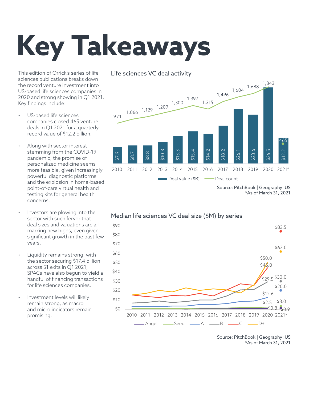## **Key Takeaways**

This edition of Orrick's series of life sciences publications breaks down the record venture investment into US-based life sciences companies in 2020 and strong showing in Q1 2021. Key findings include:

- US-based life sciences companies closed 465 venture deals in Q1 2021 for a quarterly record value of \$12.2 billion.
- Along with sector interest stemming from the COVID-19 pandemic, the promise of personalized medicine seems more feasible, given increasingly powerful diagnostic platforms and the explosion in home-based point-of-care virtual health and testing kits for general health concerns.
- Investors are plowing into the sector with such fervor that deal sizes and valuations are all marking new highs, even given significant growth in the past few years.
- Liquidity remains strong, with the sector securing \$17.4 billion across 51 exits in Q1 2021; SPACs have also begun to yield a handful of financing transactions for life sciences companies.
- Investment levels will likely remain strong, as macro and micro indicators remain promising.

#### Life sciences VC deal activity



Source: PitchBook | Geography: US \*As of March 31, 2021



Source: PitchBook | Geography: US \*As of March 31, 2021

### Median life sciences VC deal size (\$M) by series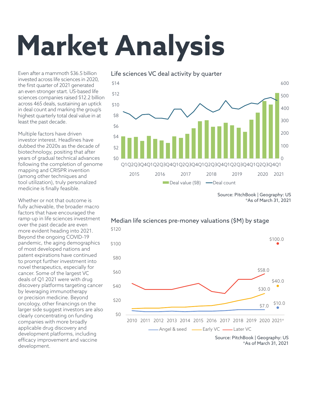## **Market Analysis**

Even after a mammoth \$36.5 billion invested across life sciences in 2020, the first quarter of 2021 generated an even stronger start. US-based life sciences companies raised \$12.2 billion across 465 deals, sustaining an uptick in deal count and marking the group's highest quarterly total deal value in at least the past decade.

Multiple factors have driven investor interest. Headlines have dubbed the 2020s as the decade of biotechnology, positing that after years of gradual technical advances following the completion of genome mapping and CRISPR invention (among other techniques and tool utilization), truly personalized medicine is finally feasible.

Whether or not that outcome is fully achievable, the broader macro factors that have encouraged the ramp-up in life sciences investment over the past decade are even more evident heading into 2021. Beyond the ongoing COVID-19 pandemic, the aging demographics of most developed nations and patent expirations have continued to prompt further investment into novel therapeutics, especially for cancer. Some of the largest VC deals of Q1 2021 were with drug discovery platforms targeting cancer by leveraging immunotherapy or precision medicine. Beyond oncology, other financings on the larger side suggest investors are also clearly concentrating on funding companies with more broadly applicable drug discovery and development platforms, including efficacy improvement and vaccine development.



Source: PitchBook | Geography: US \*As of March 31, 2021



#### Median life sciences pre-money valuations (\$M) by stage

Source: PitchBook | Geography: US \*As of March 31, 2021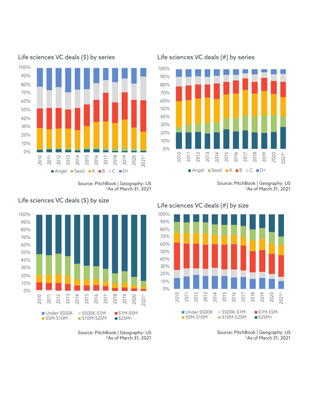

Life sciences VC deals (\$) by series Life sciences VC deals (#) by series

Source: PitchBook | Geography: US \*As of March 31, 2021



Life sciences VC deals (\$) by size



Source: PitchBook | Geography: US \*As of March 31, 2021

#### Life sciences VC deals (#) by size



Source: PitchBook | Geography: US \*As of March 31, 2021

Source: PitchBook | Geography: US \*As of March 31, 2021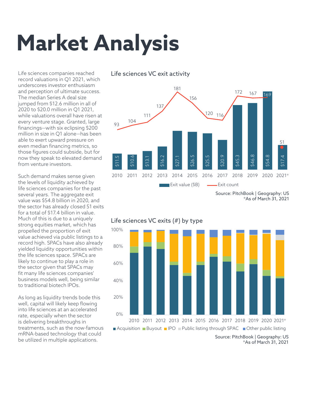## **Market Analysis**

Life sciences companies reached record valuations in Q1 2021, which underscores investor enthusiasm and perception of ultimate success. The median Series A deal size jumped from \$12.6 million in all of 2020 to \$20.0 million in Q1 2021, while valuations overall have risen at every venture stage. Granted, large financings—with six eclipsing \$200 million in size in Q1 alone—has been able to exert upward pressure on even median financing metrics, so those figures could subside, but for now they speak to elevated demand from venture investors.

Such demand makes sense given the levels of liquidity achieved by life sciences companies for the past several years. The aggregate exit value was \$54.8 billion in 2020, and the sector has already closed 51 exits for a total of \$17.4 billion in value. Much of this is due to a uniquely strong equities market, which has propelled the proportion of exit value achieved via public listings to a record high. SPACs have also already yielded liquidity opportunities within the life sciences space. SPACs are likely to continue to play a role in the sector given that SPACs may fit many life sciences companies' business models well, being similar to traditional biotech IPOs.

As long as liquidity trends bode this well, capital will likely keep flowing into life sciences at an accelerated rate, especially when the sector is delivering breakthroughs in treatments, such as the now-famous mRNA-based technology that could be utilized in multiple applications.

Life sciences VC exit activity



Source: PitchBook | Geography: US \*As of March 31, 2021



### Life sciences VC exits (#) by type

Source: PitchBook | Geography: US \*As of March 31, 2021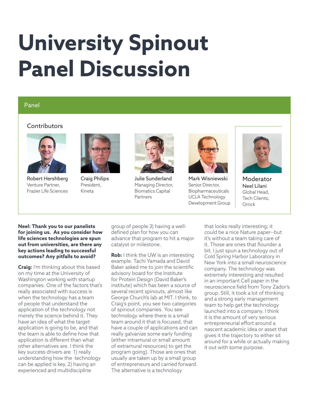### **University Spinout Panel Discussion**

#### Panel

#### **Contributors**



Robert Hershberg Venture Partner, Frazier Life Sciences



Craig Philips President, Kineta



Julie Sunderland Managing Director, Biomatics Capital Partners



Mark Wisniewski Senior Director, Biopharmaceuticals UCLA Technology Development Group



Moderator Neel Lilani Global Head, Tech Clients, **Orrick** 

#### **Neel: Thank you to our panelists for joining us. As you consider how life sciences technologies are spun out from universities, are there any key actions leading to successful outcomes? Any pitfalls to avoid?**

**Craig:** I'm thinking about this based on my time at the University of Washington working with startup companies. One of the factors that's really associated with success is when the technology has a team of people that understand the application of the technology not merely the science behind it. They have an idea of what the target application is going to be, and that the team is able to define how that application is different than what other alternatives are. I think the key success drivers are 1) really understanding how the technology can be applied is key, 2) having an experienced and multidiscipline

group of people 3) having a welldefined plan for how you can advance that program to hit a major catalyst or milestone.

**Rob:** I think the UW is an interesting example. Tachi Yamada and David Baker asked me to join the scientific advisory board for the Institute for Protein Design (David Baker's institute) which has been a source of several recent spinouts, almost like George Church's lab at MIT. I think, to Craig's point, you see two categories of spinout companies. You see technology where there is a small team around it that is focused, that have a couple of applications and can really galvanize some early funding (either intramural or small amount of extramural resources) to get the program going). Those are ones that usually are taken up by a small group of entrepreneurs and carried forward. The alternative is a technology

that looks really interesting; it could be a nice Nature paper--but it's without a team taking care of it. Those are ones that flounder a bit. I just spun a technology out of Cold Spring Harbor Laboratory in New York into a small neuroscience company. The technology was extremely interesting and resulted in an important Cell paper in the neuroscience field from Tony Zador's group. Still, it took a lot of thinking and a strong early management team to help get the technology launched into a company. I think it is the amount of very serious entrepreneurial effort around a nascent academic idea or asset that gives it the trajectory to either sit around for a while or actually making it out with some purpose.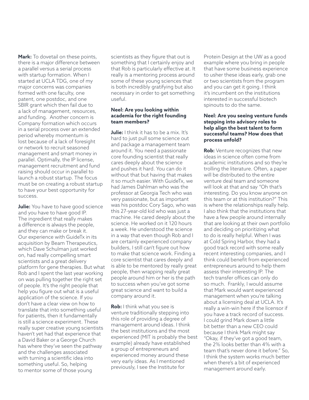**Mark:** To dovetail on these points, there is a major difference between a parallel versus a serial process with startup formation. When I started at UCLA TDG, one of my major concerns was companies formed with one faculty, one patent, one postdoc, and one SBIR grant which then fail due to a lack of management, resources, and funding. Another concern is Company formation which occurs in a serial process over an extended period whereby momentum is lost because of a lack of foresight or network to recruit seasoned management and smart money in parallel. Optimally, the IP license, management recruitment and fund raising should occur in parallel to launch a robust startup. The focus must be on creating a robust startup to have your best opportunity for success.

**Julie:** You have to have good science and you have to have good IP. The ingredient that really makes a difference is always the people, and they can make or break it. Our experience with GuideTx in its acquisition by Beam Therapeutics, which Dave Schulman just worked on, had really compelling smart scientists and a great delivery platform for gene therapies. But what Rob and I spent the last year working on was pulling together the right set of people. It's the right people that help you figure out what is a useful application of the science. If you don't have a clear view on how to translate that into something useful for patients, then it fundamentally is still a science experiment. These really super creative young scientists haven't yet had that experience that a David Baker or a George Church has where they've seen the pathway and the challenges associated with turning a scientific idea into something useful. So, helping to mentor some of those young

scientists as they figure that out is something that I certainly enjoy and that Rob is particularly effective at. It really is a mentoring process around some of these young sciences that is both incredibly gratifying but also necessary in order to get something useful.

#### **Neel: Are you looking within academia for the right founding team members?**

**Julie:** I think it has to be a mix. It's hard to just pull some science out and package a management team around it. You need a passionate core founding scientist that really cares deeply about the science and pushes it hard. You can do it without that but having that makes it so much easier. With GuideTx, we had James Dahlman who was the professor at Georgia Tech who was very passionate, but as important was his postdoc Cory Sago, who was this 27-year-old kid who was just a machine. He cared deeply about the science. He worked on it 120 hours a week. He understood the science in a way that even though Rob and I are certainly experienced company builders, I still can't figure out how to make that science work. Finding a core scientist that cares deeply and is able to be mentored by really great people, then wrapping really great people around him or her is the path to success when you've got some great science and want to build a company around it.

**Rob:** I think what you see is venture traditionally stepping into this role of providing a degree of management around ideas. I think the best institutions and the most experienced (MIT is probably the best example) already have established a group of entrepreneurs and experienced money around these very early ideas. As I mentioned previously, I see the Institute for

Protein Design at the UW as a good example where you bring in people that have some business experience to usher these ideas early, grab one or two scientists from the program and you can get it going. I think it's incumbent on the institutions interested in successful biotech spinouts to do the same.

#### **Neel: Are you seeing venture funds stepping into advisory roles to help align the best talent to form successful teams? How does that process unfold?**

**Rob:** Venture recognizes that new ideas in science often come from academic institutions and so they're trolling the literature. Often, a paper will be distributed to the entire venture deal team and someone will look at that and say "Oh that's interesting. Do you know anyone on this team or at this institution?" This is where the relationships really help. I also think that the institutions that have a few people around internally that are looking at their own portfolio and deciding on prioritizing what to do is really helpful. When I was at Cold Spring Harbor, they had a good track record with some really recent interesting companies, and I think could benefit from experienced entrepreneurs around to help them assess their interesting IP. The tech transfer offices can only do so much. Frankly, I would assume that Mark would want experienced management when you're talking about a licensing deal at UCLA. It's really a win-win here if the licensor if you have a track record of success. I could grind Mark down a little bit better than a new CEO could because I think Mark might say "Okay, if they've got a good team, the 2% looks better than 4% with a team that's never done it before." So, I think the system works much better when there's a bit of experienced management around early.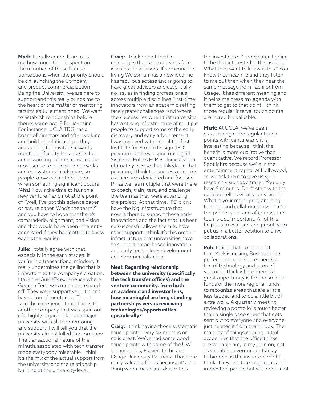**Mark:** I totally agree. It amazes me how much time is spent on the minutiae of these license transactions when the priority should be on launching the Company and product commercialization. Being the University, we are here to support and this really brings me to the heart of the matter of mentoring faculty, as Julie mentioned. We want to establish relationships before there's some hot IP for licensing. For instance, UCLA TDG has a board of directors and after working and building relationships, they are starting to gravitate towards mentoring faculty because it's fun and rewarding. To me, it makes the most sense to build your networks and ecosystems in advance, so people know each other. Then, when something significant occurs "Aha! Now's the time to launch a new venture!" and not at the point of "Well, I've got this science paper or nature paper. Who's the team?" and you have to hope that there's camaraderie, alignment, and vision and that would have been inherently addressed if they had gotten to know each other earlier.

**Julie:** I totally agree with that, especially in the early stages. If you're in a transactional mindset, it really undermines the gelling that is important to the company's creation. I take the GuideTx experience where Georgia Tech was much more hands off. They were supportive but didn't have a ton of mentoring. Then I take the experience that I had with another company that was spun out of a highly-regarded lab at a major university with all the mentoring and support. I will tell you that the university almost killed the company. The transactional nature of the minutia associated with tech transfer made everybody miserable. I think it's the mix of the actual support from the university and the relationship building at the university-level.

**Craig:** I think one of the big challenges that startup teams face is access to advisors. If someone like Irving Weissman has a new idea, he has fabulous access and is going to have great advisors and essentially no issues in finding professionals across multiple disciplines First-time innovators from an academic setting face greater challenges, and where the success lies when that university has a strong infrastructure of multiple people to support some of the early discovery and early advancement. I was involved with one of the first Institute for Protein Design (IPD) programs that was spun out Ingrid Swanson Pultz's PvP Biologics which ultimately was sold to Takeda. In that program, I think the success occurred as there was dedicated and focused PI, as well as multiple that were there to coach, train, test, and challenge the team as they were advancing the project. At that time, IPD didn't have the big infrastructure that now is there to support these early innovations and the fact that it's been so successful allows them to have more support. I think it's this organic infrastructure that universities have to support broad-based innovation and early technology development and commercialization.

#### **Neel: Regarding relationship between the university (specifically the tech transfer offices) and the venture community, from both an academic and investor lens, how meaningful are long standing partnerships versus reviewing technologies/opportunities episodically?**

**Craig:** I think having those systematic touch points every six months or so is great. We've had some good touch points with some of the UW technologies, Frasier, Tachi, and Osage University Partners. Those are really valuable for us because it's one thing when me as an advisor tells

the investigator "People aren't going to be that interested in this aspect. What they want to know is this." You know they hear me and they listen to me but then when they hear the same message from Tachi or from Osage, it has different meaning and it helps me press my agenda with them to get to that point. I think those regular interval touch points are incredibly valuable.

**Mark:** At UCLA, we've been establishing more regular touch points with venture and it is interesting because I think the benefit is more qualitative than quantitative. We record Professor Spotlights because we're in the entertainment capital of Hollywood, so we ask them to give us your research vision as a trailer. You only have 5 minutes. Don't start with the data but tell us what your vision is. What is your major programming, funding, and collaborations? That's the people side; and of course, the tech is also important. All of this helps us to evaluate and prioritize to put us in a better position to drive collaborations.

**Rob:** I think that, to the point that Mark is raising, Boston is the perfect example where there's a ton of technology and a ton of venture. I think where there's a great opportunity is for the smaller funds or the more regional funds to recognize areas that are a little less tapped and to do a little bit of extra work. A quarterly meeting reviewing a portfolio is much better than a single page sheet that gets sent out to everyone and everyone just deletes it from their inbox. The majority of things coming out of academics that the office thinks are valuable are, in my opinion, not as valuable to venture or frankly to biotech as the inventors might think. They're interesting ideas and interesting papers but you need a lot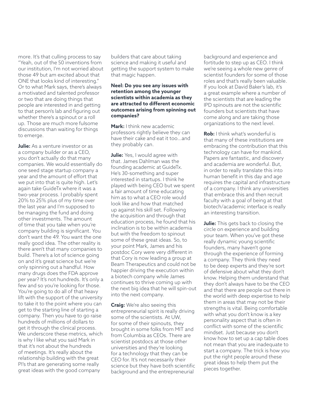more. It's that culling process to say "Yeah, out of the 50 inventions from our institution, I'm not worried about those 49 but am excited about that ONE that looks kind of interesting." Or to what Mark says, there's always a motivated and talented professor or two that are doing things that people are interested in and getting to that person's lab and figuring out whether there's a spinout or a roll up. Those are much more fulsome discussions than waiting for things to emerge.

**Julie:** As a venture investor or as a company builder or as a CEO, you don't actually do that many companies. We would essentially do one seed stage startup company a year and the amount of effort that we put into that is quite high. Let's again take GuideTx where it was a two-year process. I probably spent 20% to 25% plus of my time over the last year and I'm supposed to be managing the fund and doing other investments. The amount of time that you take when you're company building is significant. You don't want the 49. You want the one really good idea. The other reality is there aren't that many companies to build. There's a lot of science going on and it's great science but we're only spinning out a handful. How many drugs does the FDA approve per year? It's not hundreds. It's only a few and so you're looking for those. You're going to do all of that heavy lift with the support of the university to take it to the point where you can get to the starting line of starting a company. Then you have to go raise hundreds of millions of dollars to get it through the clinical process. We underscore these metrics, which is why I like what you said Mark in that it's not about the hundreds of meetings. It's really about the relationship building with the great PI's that are generating some really great ideas with the good company

builders that care about taking science and making it useful and getting the support system to make that magic happen.

#### **Neel: Do you see any issues with retention among the younger scientists within academia as they are attracted to different economic outcomes arising from spinning out companies?**

**Mark:** I think new academic professors rightly believe they can have their cake and eat it too…and they probably can.

**Julie:** Yes, I would agree with that. James Dahlman was the founding academic at GuideTx. He's 30-something and super interested in startups. I think he played with being CEO but we spent a fair amount of time educating him as to what a CEO role would look like and how that matched up against his skill set. Following the acquisition and through that education process, he found that his inclination is to be within academia but with the freedom to spinout some of these great ideas. So, to your point Mark, James and his postdoc Cory were very different in that Cory is now leading a group at Beam Therapeutics and could not be happier driving the execution within a biotech company while James continues to thrive coming up with the next big idea that he will spin-out into the next company.

**Craig:** We're also seeing this entrepreneurial spirit is really driving some of the scientists. At UW, for some of their spinouts, they brought in some folks from MIT and from Columbia as CEOs. There are scientist postdocs at those other universities and they're looking for a technology that they can be CEO for. It's not necessarily their science but they have both scientific background and the entrepreneurial

background and experience and fortitude to step up as CEO. I think we're seeing a whole new genre of scientist founders for some of those roles and that's really been valuable. If you look at David Baker's lab, it's a great example where a number of the scientists that are leading the IPD spinouts are not the scientific founders but scientists that have come along and are taking those organizations to the next level.

**Rob:** I think what's wonderful is that many of these institutions are embracing the contribution that this technology can have for mankind. Papers are fantastic, and discovery and academia are wonderful. But, in order to really translate this into human benefit in this day and age requires the capital and infrastructure of a company. I think any universities that embrace this and then recruit faculty with a goal of being at that biotech/academic interface is really an interesting transition.

**Julie:** This gets back to closing the circle on experience and building your team. When you've got these really dynamic young scientific founders, many haven't gone through the experience of forming a company. They think they need to be deep experts and they're sort of defensive about what they don't know. Helping them understand that they don't always have to be the CEO and that there are people out there in the world with deep expertise to help them in areas that may not be their strengths is vital. Being comfortable with what you don't know is a key personality aspect that is often in conflict with some of the scientific mindset. Just because you don't know how to set up a cap table does not mean that you are inadequate to start a company. The trick is how you put the right people around these great ideas to help them put the pieces together.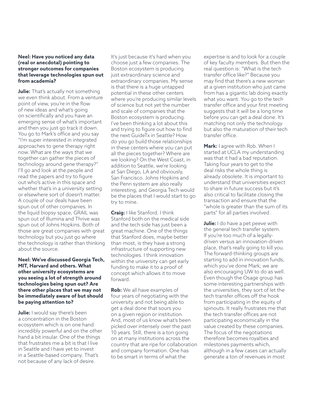#### **Neel: Have you noticed any data (real or anecdotal) pointing to stronger outcomes for companies that leverage technologies spun out from academia?**

**Julie:** That's actually not something we even think about. From a venture point of view, you're in the flow of new ideas and what's going on scientifically and you have an emerging sense of what's important and then you just go track it down. You go to Mark's office and you say "I'm super interested in integrated approaches to gene therapy right now. What are the ways that we together can gather the pieces of technology around gene therapy?" I'll go and look at the people and read the papers and try to figure out who's active in this space and whether that's in a university setting or elsewhere sort of doesn't matter. A couple of our deals have been spun out of other companies. In the liquid biopsy space, GRAIL was spun out of Illumina and Thrive was spun out of Johns Hopkins. Both of those are great companies with great technology but you just go where the technology is rather than thinking about the source.

#### **Neel: We've discussed Georgia Tech, MIT, Harvard and others. What other university ecosystems are you seeing a lot of strength around technologies being spun out? Are there other places that we may not be immediately aware of but should be paying attention to?**

**Julie:** I would say there's been a concentration in the Boston ecosystem which is on one hand incredibly powerful and on the other hand a bit insular. One of the things that frustrates me a bit is that I live in Seattle and I have yet to invest in a Seattle-based company. That's not because of any lack of desire.

It's just because it's hard when you choose just a few companies. The Boston ecosystem is producing just extraordinary science and extraordinary companies. My sense is that there is a huge untapped potential in these other centers where you're producing similar levels of science but not yet the number and scale of companies that the Boston ecosystem is producing. I've been thinking a lot about this and trying to figure out how to find the next GuideTx in Seattle? How do you go build those relationships in these centers where you can put all the pieces together? Where are we looking? On the West Coast, in addition to Seattle, we're looking at San Diego, LA and obviously, San Francisco. Johns Hopkins and the Penn system are also really interesting, and Georgia Tech would be the places that I would start to go try to mine.

**Craig:** I like Stanford. I think Stanford both on the medical side and the tech side has just been a great machine. One of the things that Stanford does, maybe better than most, is they have a strong infrastructure of supporting new technologies. I think innovation within the university can get early funding to make it to a proof of concept which allows it to move forward.

**Rob:** We all have examples of four years of negotiating with the university and not being able to get a deal done that sours you on a given region or institution. And, most of us know what's been picked over intensely over the past 10 years. Still, there is a ton going on at many institutions across the country that are ripe for collaboration and company formation. One has to be smart in terms of what the

expertise is and to look for a couple of key faculty members. But then the real question is: "What is the tech transfer office like?" Because you may find that there's a new woman at a given institution who just came from has a gigantic lab doing exactly what you want. You go to the tech transfer office and your first meeting suggests that it will be a long time before you can get a deal done. It's matching not only the technology but also the maturation of their tech transfer office.

**Mark:** I agree with Rob. When I started at UCLA my understanding was that it had a bad reputation. Taking four years to get to the deal risks the whole thing is already obsolete. It is important to understand that universities expect to share in future success but it's also critical to facilitate closing the transaction and ensure that the "whole is greater than the sum of its parts" for all parties involved.

**Julie:** I do have a pet peeve with the general tech transfer system. If you're too much of a legallydriven versus an innovation-driven place, that's really going to kill you. The forward-thinking groups are starting to add in innovation funds, which you've done Mark; we are also encouraging UW to do as well. Even though the Osage group has some interesting partnerships with the universities, they sort of let the tech transfer offices off the hook from participating in the equity of spinouts. It really frustrates me that the tech transfer offices are not participating economically in the value created by these companies. The focus of the negotiations therefore becomes royalties and milestones payments which, although in a few cases can actually generate a ton of revenues in most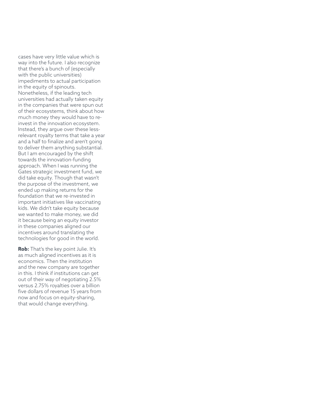cases have very little value which is way into the future. I also recognize that there's a bunch of (especially with the public universities) impediments to actual participation in the equity of spinouts. Nonetheless, if the leading tech universities had actually taken equity in the companies that were spun out of their ecosystems, think about how much money they would have to reinvest in the innovation ecosystem. Instead, they argue over these lessrelevant royalty terms that take a year and a half to finalize and aren't going to deliver them anything substantial. But I am encouraged by the shift towards the innovation-funding approach. When I was running the Gates strategic investment fund, we did take equity. Though that wasn't the purpose of the investment, we ended up making returns for the foundation that we re-invested in important initiatives like vaccinating kids. We didn't take equity because we wanted to make money, we did it because being an equity investor in these companies aligned our incentives around translating the technologies for good in the world.

**Rob:** That's the key point Julie. It's as much aligned incentives as it is economics. Then the institution and the new company are together in this. I think if institutions can get out of their way of negotiating 2.5% versus 2.75% royalties over a billion five dollars of revenue 15 years from now and focus on equity-sharing, that would change everything.